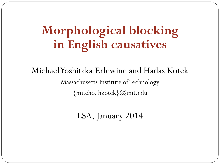# **Morphological blocking in English causatives**

### Michael Yoshitaka Erlewine and Hadas Kotek Massachusetts Institute of Technology {mitcho, hkotek}@mit.edu

LSA, January 2014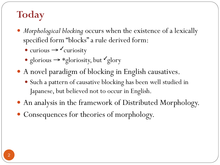# **Today**

- *Morphological blocking* occurs when the existence of a lexically specified form "blocks" a rule derived form:
	- $\bullet$  curious  $\rightarrow \textrm{Curiosity}$
	- glorious  $\rightarrow$  \*gloriosity, but  $\checkmark$  glory
- A novel paradigm of blocking in English causatives.
	- Such a pattern of causative blocking has been well studied in Japanese, but believed not to occur in English.
- An analysis in the framework of Distributed Morphology.
- Consequences for theories of morphology.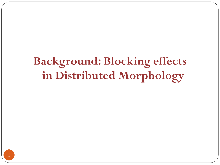# **Background: Blocking effects in Distributed Morphology**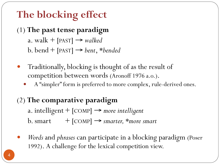# **The blocking effect**

### (1) **The past tense paradigm**

a. walk  $+$  [PAST]  $\rightarrow$  *walked* 

b. bend +  $[PAST]  $\rightarrow$  *bent*, **bended*$ 

- Traditionally, blocking is thought of as the result of competition between words (Aronoff 1976 a.o.).
	- A "simpler" form is preferred to more complex, rule-derived ones.

### (2) **The comparative paradigm**

a. intelligent  $+$  [COMP]  $\rightarrow$  *more intelligent* b. smart  $+$   $[COMP] \rightarrow$  *smarter, \*more smart* 

 *Words* and *phrases* can participate in a blocking paradigm (Poser 1992). A challenge for the lexical competition view.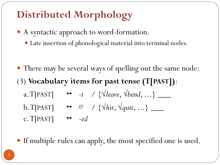## **Distributed Morphology**

- A syntactic approach to word-formation.
	- Late insertion of phonological material into terminal nodes.

- There may be several ways of spelling out the same node: (3) **Vocabulary items for past tense (T[PAST])**: a. T[PAST]  $\leftrightarrow$  -t / { $\sqrt{leave}$ ,  $\sqrt{bend}$ , ...} \_\_\_\_ b. T[PAST] ↔ ∅ / {√*hit*, √*quit*, ...} \_\_\_ c.  $T[FAST] \leftrightarrow -ed$
- If multiple rules can apply, the most specified one is used.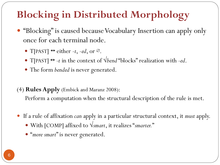# **Blocking in Distributed Morphology**

- "Blocking" is caused because Vocabulary Insertion can apply only once for each terminal node.
	- T[PAST]  $\leftrightarrow$  either -*t*, -*ed*, or  $\varnothing$ .
	- T[PAST] ↔ -*t* in the context of √*bend* "blocks" realization with -*ed*.
	- The form *bended* is never generated.

(4) **Rules Apply** (Embick and Maranz 2008):

Perform a computation when the structural description of the rule is met.

- If a rule of affixation *can* apply in a particular structural context, it *must* apply.
	- With [COMP] affixed to √*smart*, it realizes "*smarter.*"
	- "*more smart*" is never generated.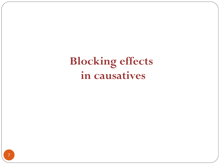**Blocking effects in causatives**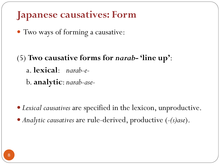### **Japanese causatives: Form**

Two ways of forming a causative:

(5) **Two causative forms for** *narab***- 'line up'**: a. **lexical**: *narab-e*b. **analytic**: *narab-ase-* 

 *Lexical causatives* are specified in the lexicon, unproductive. *Analytic causatives* are rule-derived, productive (*-(s)ase*).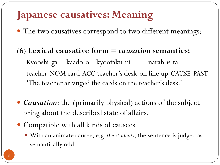## **Japanese causatives: Meaning**

The two causatives correspond to two different meanings:

#### (6) **Lexical causative form =** *causation* **semantics:**

Kyooshi-ga kaado-o kyootaku-ni narab-**e**-ta. teacher-NOM card-ACC teacher's desk-on line up-CAUSE-PAST 'The teacher arranged the cards on the teacher's desk.'

- *Causation*: the (primarily physical) actions of the subject bring about the described state of affairs.
- Compatible with all kinds of causees.
	- With an animate causee, e.g. *the students*, the sentence is judged as semantically odd.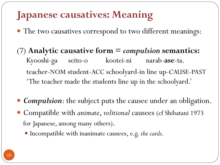## **Japanese causatives: Meaning**

- The two causatives correspond to two different meanings:
- (7) **Analytic causative form =** *compulsion* **semantics:** Kyooshi-ga seito-o kootei-ni narab-**ase**-ta. teacher-NOM student-ACC schoolyard-in line up-CAUSE-PAST 'The teacher made the students line up in the schoolyard.'
- *Compulsion*: the subject puts the causee under an obligation.
- Compatible with *animate*, *volitional* causees (cf Shibatani 1973 for Japanese, among many others).
	- Incompatible with inanimate causees, e.g. *the cards*.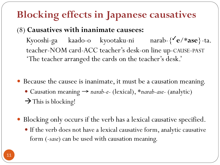## **Blocking effects in Japanese causatives**

#### (8) **Causatives with inanimate causees:**

Kyooshi-ga kaado-o kyootaku-ni narab-{✓**e**/\***ase**}-ta. teacher-NOM card-ACC teacher's desk-on line up-CAUSE-PAST 'The teacher arranged the cards on the teacher's desk.'

- Because the causee is inanimate, it must be a causation meaning. Causation meaning → *narab-e-* (lexical), \**narab-ase-* (analytic)  $\rightarrow$  This is blocking!
- Blocking only occurs if the verb has a lexical causative specified.
	- If the verb does not have a lexical causative form, analytic causative form (*-sase*) can be used with causation meaning.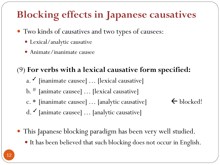## **Blocking effects in Japanese causatives**

- Two kinds of causatives and two types of causees:
	- Lexical/analytic causative
	- Animate/inanimate causee

#### (9) **For verbs with a lexical causative form specified:**

- a. Inanimate causee] ... [lexical causative]
- b. # [animate causee] … [lexical causative]
- c. \* [inanimate causee] ... [analytic causative]  $\leftarrow$  blocked!
- 

- d. ✓ [animate causee] … [analytic causative]
- This Japanese blocking paradigm has been very well studied.
	- It has been believed that such blocking does not occur in English.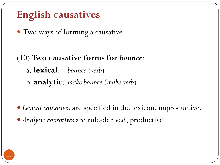Two ways of forming a causative:

### (10) **Two causative forms for** *bounce*: a. **lexical**: *bounce* (*verb*) b. **analytic**: *make bounce* (*make verb*)

*Lexical causatives* are specified in the lexicon, unproductive.

*Analytic causatives* are rule-derived, productive.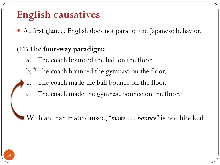At first glance, English does not parallel the Japanese behavior.

#### (11) **The four-way paradigm:**

- a. The coach bounced the ball on the floor.
- b. # The coach bounced the gymnast on the floor.
- c. The coach made the ball bounce on the floor.
- d. The coach made the gymnast bounce on the floor.

With an inanimate causee, "*make … bounce*" is not blocked.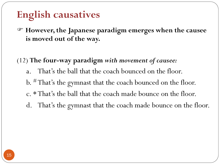- F **However, the Japanese paradigm emerges when the causee is moved out of the way.**
- (12) **The four-way paradigm** *with movement of causee:*
	- a. That's the ball that the coach bounced on the floor.
	- b. # That's the gymnast that the coach bounced on the floor.
	- c. \*That's the ball that the coach made bounce on the floor.
	- d. That's the gymnast that the coach made bounce on the floor.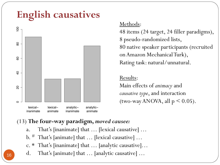

#### Methods:

48 items (24 target, 24 filler paradigms), 8 pseudo-randomized lists, 80 native speaker participants (recruited on Amazon Mechanical Turk), Rating task: natural/unnatural.

#### Results:

Main effects of animacy and causative type, and interaction (two-way ANOVA, all  $p \le 0.05$ ).

#### (13) The four-way paradigm, moved causee:

- That's [inanimate] that ... [lexical causative] ...  $\overline{a}$ .
- $\rm b.$ <sup>#</sup> That's [animate] that ... [lexical causative] ...
- c. \* That's [inanimate] that ... [analytic causative]...
- That's [animate] that ... [analytic causative] ...  $\mathbf{d}$ .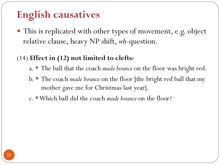This is replicated with other types of movement, e.g. object relative clause, heavy NP shift, *wh*-question.

#### (14) **Effect in (12) not limited to clefts***:*

- a. \* The ball that the coach *made bounce* on the floor was bright red.
- b. \* The coach *made bounce* on the floor [the bright red ball that my mother gave me for Christmas last year].
- c. \* Which ball did the coach *made bounce* on the floor?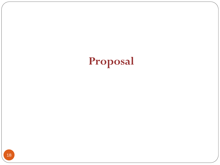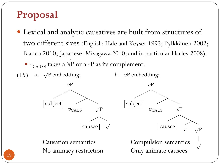### Proposal

- Lexical and analytic causatives are built from structures of two different sizes (English: Hale and Keyser 1993; Pylkkänen 2002; Blanco 2010; Japanese: Miyagawa 2010; and in particular Harley 2008). •  $v_{\text{CAUSE}}$  takes a  $\sqrt{\text{P}}$  or a vP as its complement.
- (15) a.  $\sqrt{P}$  embedding:



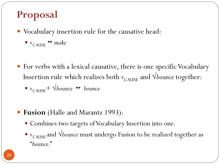### **Proposal**

- Vocabulary insertion rule for the causative head:
	- $\bullet$   $v_{\text{CAUSE}} \leftrightarrow$  make
- For verbs with a lexical causative, there is one specific Vocabulary Insertion rule which realizes both  $v_{\text{CAUSE}}$  and  $\sqrt{b}$ *ounce* together:  $\bullet$  *v*<sub>CAUSE</sub> +  $\sqrt{b}$ *ounce*  $\leftrightarrow$  *bounce*
- **Fusion** (Halle and Marantz 1993):
	- Combines two targets of Vocabulary Insertion into one.
	- $\bullet$  *v*<sub>CAUSE</sub> and *√bounce* must undergo Fusion to be realized together as "*bounce*."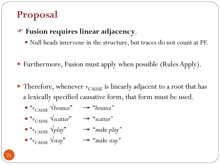### **Proposal**

#### F **Fusion requires linear adjacency**.

- Null heads intervene in the structure, but traces do not count at PF.
- Furthermore, Fusion must apply when possible (Rules Apply).
- Therefore, whenever  $v_{\text{CAUSE}}$  is linearly adjacent to a root that has a lexically specified causative form, that form must be used.
	- $\bullet$  " $v_{\text{CAUSE}}$   $\forall$  *bounce*"  $\rightarrow$  "*bounce*"
	- "<sup>*v*</sup>CAUSE</sub> √*scatter*" → "*scatter*"
	- $\alpha_{\text{CALISE}} \vee \text{play}$ "  $\rightarrow \alpha_{\text{make play}}$ "
	- $\bullet$  " $v_{\text{CAUSE}}$   $\forall$ *stay*"  $\rightarrow$  "*make stay*"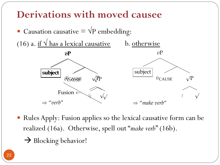### Derivations with moved causee



• Rules Apply: Fusion applies so the lexical causative form can be realized (16a). Otherwise, spell out "make verb" (16b).

 $\rightarrow$  Blocking behavior!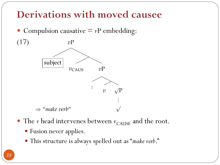### Derivations with moved causee

• Compulsion causative  $=$   $vP$  embedding:



- The  $v$  head intervenes between  $v_{\text{CAUSE}}$  and the root.
	- Fusion never applies.
	- This structure is always spelled out as "make verb."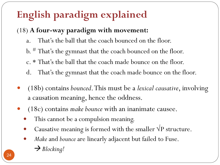# **English paradigm explained**

#### (18) **A four-way paradigm with movement:**

- a. That's the ball that the coach bounced on the floor.
- b. # That's the gymnast that the coach bounced on the floor.
- c. \* That's the ball that the coach made bounce on the floor.
- d. That's the gymnast that the coach made bounce on the floor.
- (18b) contains *bounced*. This must be a *lexical causative*, involving a causation meaning, hence the oddness.
- (18c) contains *make bounce* with an inanimate causee.
	- This cannot be a compulsion meaning.
	- Causative meaning is formed with the smaller  $\sqrt{P}$  structure.
	- *Make* and *bounce* are linearly adjacent but failed to Fuse.
		- **→** Blocking!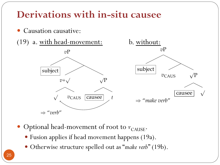### Derivations with in-situ causee





- Optional head-movement of root to  $v_{\text{CAUSE}}$ .
	- · Fusion applies if head movement happens (19a).
	- Otherwise structure spelled out as "make verb" (19b).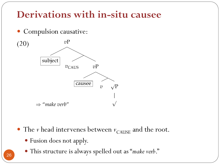### Derivations with in-situ causee



- The  $v$  head intervenes between  $v_{\text{CAIISE}}$  and the root.
	- · Fusion does not apply.
	- · This structure is always spelled out as "make verb."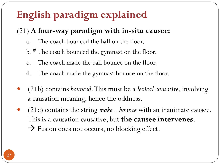# **English paradigm explained**

### (21) **A four-way paradigm with in-situ causee:**

- a. The coach bounced the ball on the floor.
- b. # The coach bounced the gymnast on the floor.
- c. The coach made the ball bounce on the floor.
- d. The coach made the gymnast bounce on the floor.
- (21b) contains *bounced*. This must be a *lexical causative*, involving a causation meaning, hence the oddness.
- (21c) contains the string *make .. bounce* with an inanimate causee. This is a causation causative, but **the causee intervenes**.  $\rightarrow$  Fusion does not occurs, no blocking effect.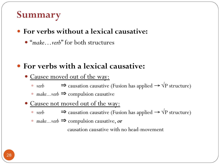### **Summary**

#### **For verbs without a lexical causative:**

"*make…verb*" for both structures

#### **For verbs with a lexical causative:**

- Causee moved out of the way:
	- *verb* ⇒ causation causative (Fusion has applied →  $\sqrt{P}$  structure)
	- *make...verb* ⇒ compulsion causative
- Causee not moved out of the way:
	- *verb* ⇒ causation causative (Fusion has applied →  $\sqrt{P}$  structure)
	- *make...verb* ⇒ compulsion causative, *or*

causation causative with no head-movement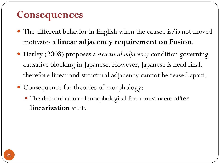### **Consequences**

- The different behavior in English when the causee is/is not moved motivates a **linear adjacency requirement on Fusion**.
- Harley (2008) proposes a *structural adjacency* condition governing causative blocking in Japanese. However, Japanese is head final, therefore linear and structural adjacency cannot be teased apart.
- Consequence for theories of morphology:
	- The determination of morphological form must occur **after linearization** at PF.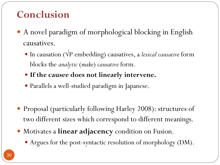### **Conclusion**

- A novel paradigm of morphological blocking in English causatives.
	- In causation (√P embedding) causatives, a *lexical causative* form blocks the *analytic* (*make*) *causative* form*.*
	- **If the causee does not linearly intervene.**
	- Parallels a well-studied paradigm in Japanese.
- Proposal (particularly following Harley 2008): structures of two different sizes which correspond to different meanings.
- Motivates a **linear adjacency** condition on Fusion.
	- Argues for the post-syntactic resolution of morphology (DM).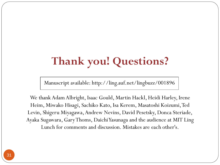# **Thank you! Questions?**

Manuscript available: http://ling.auf.net/lingbuzz/001896

We thank Adam Albright, Isaac Gould, Martin Hackl, Heidi Harley, Irene Heim, Miwako Hisagi, Sachiko Kato, Isa Kerem, Masatoshi Koizumi, Ted Levin, Shigeru Miyagawa, Andrew Nevins, David Pesetsky, Donca Steriade, Ayaka Sugawara, Gary Thoms, DaichiYasunaga and the audience at MIT Ling Lunch for comments and discussion. Mistakes are each other's.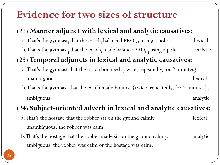### **Evidence for two sizes of structure**

#### (22) **Manner adjunct with lexical and analytic causatives:**

- a. That's the gymnast<sub>j</sub> that the coach<sub>i</sub> balanced  $\text{PRO}_{i\text{/*j}}$  using a pole. lexical
- b. That's the gymnast<sub>j</sub> that the coach<sub>i</sub> made balance  $\text{PRO}_{i/j}$  using a pole.  $\hspace{1cm}$  analytic

#### (23) **Temporal adjuncts in lexical and analytic causatives:**

- a. That's the gymnast that the coach bounced {twice, repeatedly, for 2 minutes} unambiguous lexical
- b. That's the gymnast that the coach made bounce {twice, repeatedly, for 2 minutes}. ambiguous analytic

#### (24) **Subject-oriented adverb in lexical and analytic causatives:**

- a. That's the hostage that the robber sat on the ground calmly. lexical unambiguous: the robber was calm.
- b. That's the hostage that the robber made sit on the ground calmly. analytic ambiguous: the robber was calm or the hostage was calm.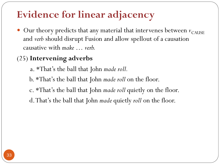## **Evidence for linear adjacency**

 $\bullet$  Our theory predicts that any material that intervenes between  $v_{\text{CAUSE}}$ and *verb* should disrupt Fusion and allow spellout of a causation causative with *make … verb.* 

#### (25) **Intervening adverbs**

- a. \*That's the ball that John *made roll.*
- b. \*That's the ball that John *made roll* on the floor.
- c. \*That's the ball that John *made roll* quietly on the floor.
- d. That's the ball that John *made* quietly *roll* on the floor.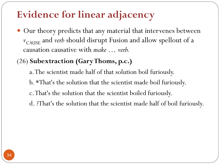## **Evidence for linear adjacency**

 Our theory predicts that any material that intervenes between *v*<sub>CAUSE</sub> and *verb* should disrupt Fusion and allow spellout of a causation causative with *make … verb.*

#### (26) **Subextraction (Gary Thoms, p.c.)**

- a. The scientist made half of that solution boil furiously.
- b. \*That's the solution that the scientist made boil furiously.
- c. That's the solution that the scientist boiled furiously.
- d. ?That's the solution that the scientist made half of boil furiously.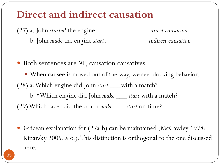### **Direct and indirect causation**

(27) a. John *started* the engine. *direct causation* b. John *made* the engine *start*. *indirect causation*

 $\bullet$  Both sentences are  $\sqrt{P}$ , causation causatives.

 When causee is moved out of the way, we see blocking behavior. (28) a. Which engine did John *start \_\_\_*with a match? b. \*Which engine did John *make \_\_\_ start* with a match? (29) Which racer did the coach *make \_\_\_ start* on time?

 Gricean explanation for (27a-b) can be maintained (McCawley 1978; Kiparsky 2005, a.o.). This distinction is orthogonal to the one discussed here.